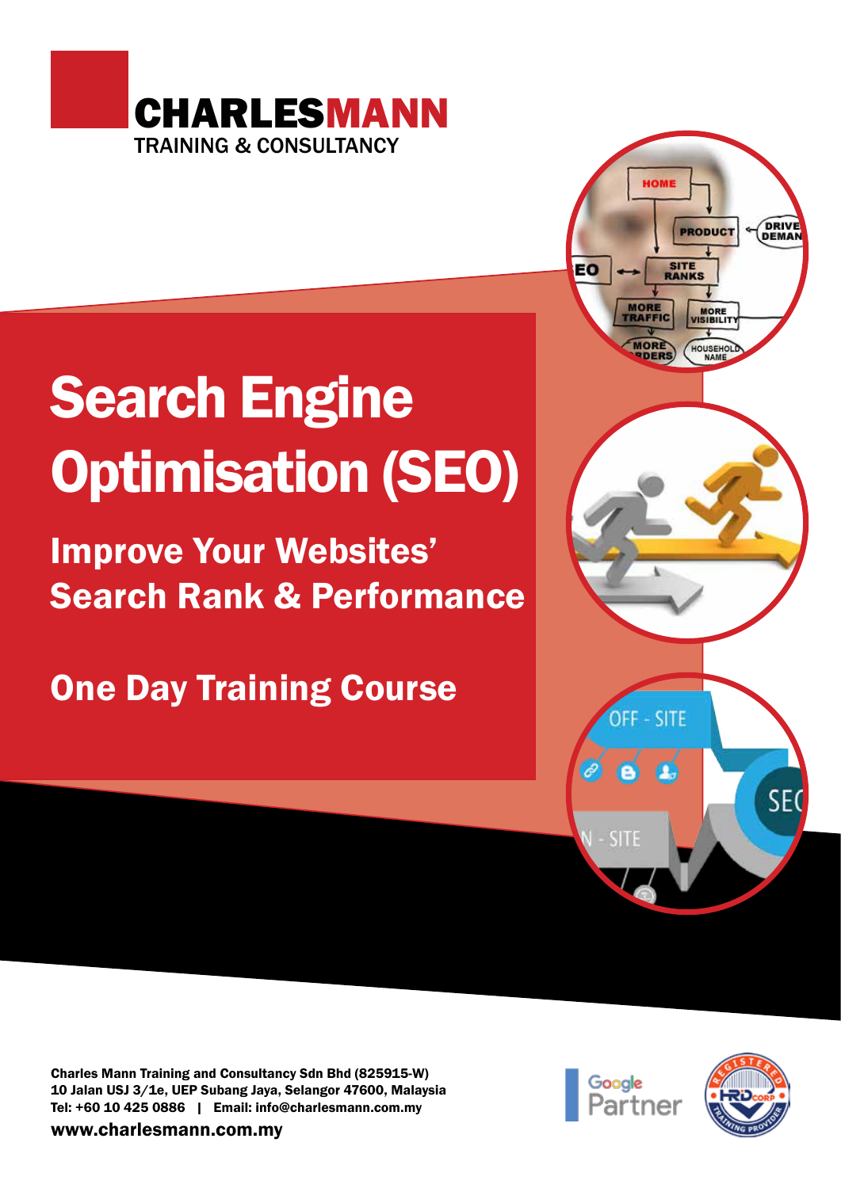

# Search Engine Optimisation (SEO)

Improve Your Websites' Search Rank & Performance

One Day Training Course



Charles Mann Training and Consultancy Sdn Bhd (825915-W) 10 Jalan USJ 3/1e, UEP Subang Jaya, Selangor 47600, Malaysia Tel: +60 10 425 0886 | Email: info@charlesmann.com.my

www.charlesmann.com.my



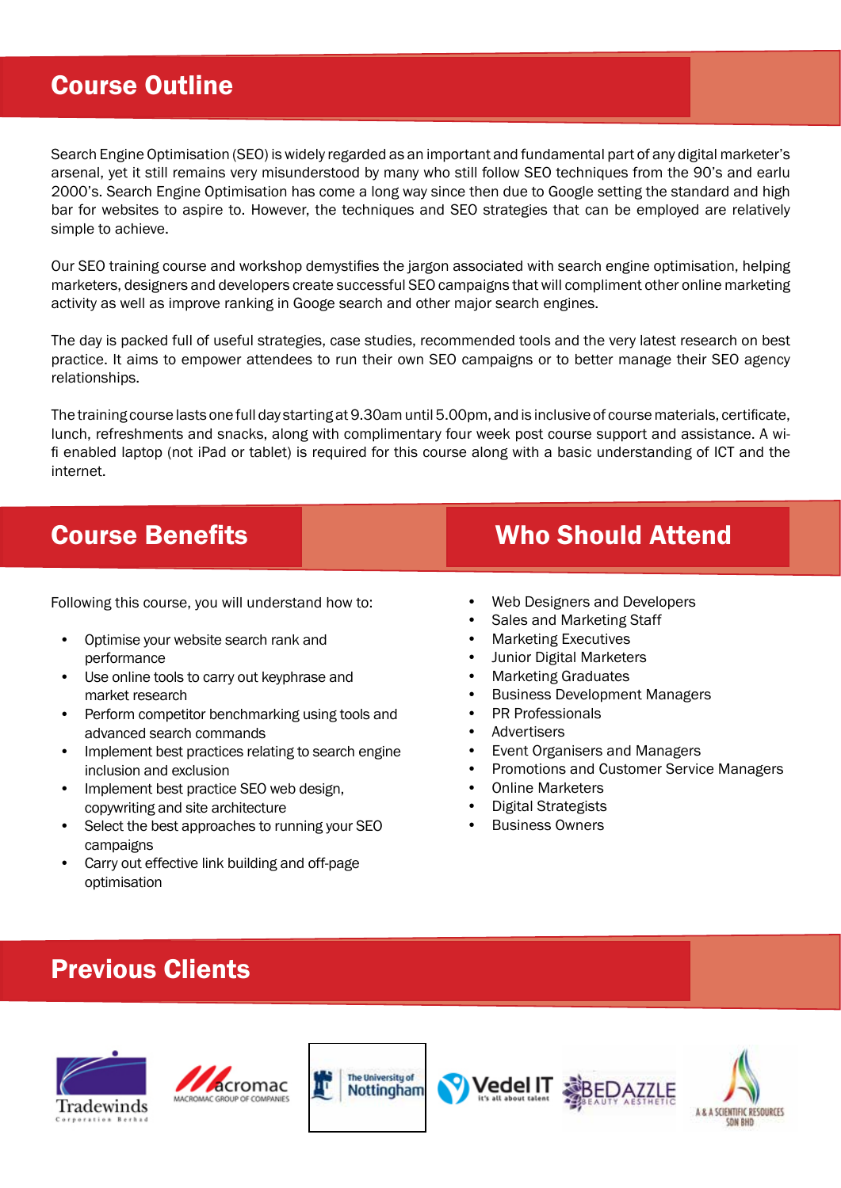### Course Outline

Search Engine Optimisation (SEO) is widely regarded as an important and fundamental part of any digital marketer's arsenal, yet it still remains very misunderstood by many who still follow SEO techniques from the 90's and earlu 2000's. Search Engine Optimisation has come a long way since then due to Google setting the standard and high bar for websites to aspire to. However, the techniques and SEO strategies that can be employed are relatively simple to achieve.

Our SEO training course and workshop demystifies the jargon associated with search engine optimisation, helping marketers, designers and developers create successful SEO campaigns that will compliment other online marketing activity as well as improve ranking in Googe search and other major search engines.

The day is packed full of useful strategies, case studies, recommended tools and the very latest research on best practice. It aims to empower attendees to run their own SEO campaigns or to better manage their SEO agency relationships.

The training course lasts one full day starting at 9.30am until 5.00pm, and is inclusive of course materials, certificate, lunch, refreshments and snacks, along with complimentary four week post course support and assistance. A wifi enabled laptop (not iPad or tablet) is required for this course along with a basic understanding of ICT and the internet.

Following this course, you will understand how to:

- Optimise your website search rank and performance
- Use online tools to carry out keyphrase and market research
- Perform competitor benchmarking using tools and advanced search commands
- Implement best practices relating to search engine inclusion and exclusion
- Implement best practice SEO web design, copywriting and site architecture
- Select the best approaches to running your SEO campaigns
- Carry out effective link building and off-page optimisation

## **Course Benefits Course Benefits** Who Should Attend

- Web Designers and Developers
- Sales and Marketing Staff
- Marketing Executives
- Junior Digital Marketers
- Marketing Graduates
- Business Development Managers
- PR Professionals
- **Advertisers**
- Event Organisers and Managers
- Promotions and Customer Service Managers
- Online Marketers
- Digital Strategists
- **Business Owners**

## Previous Clients









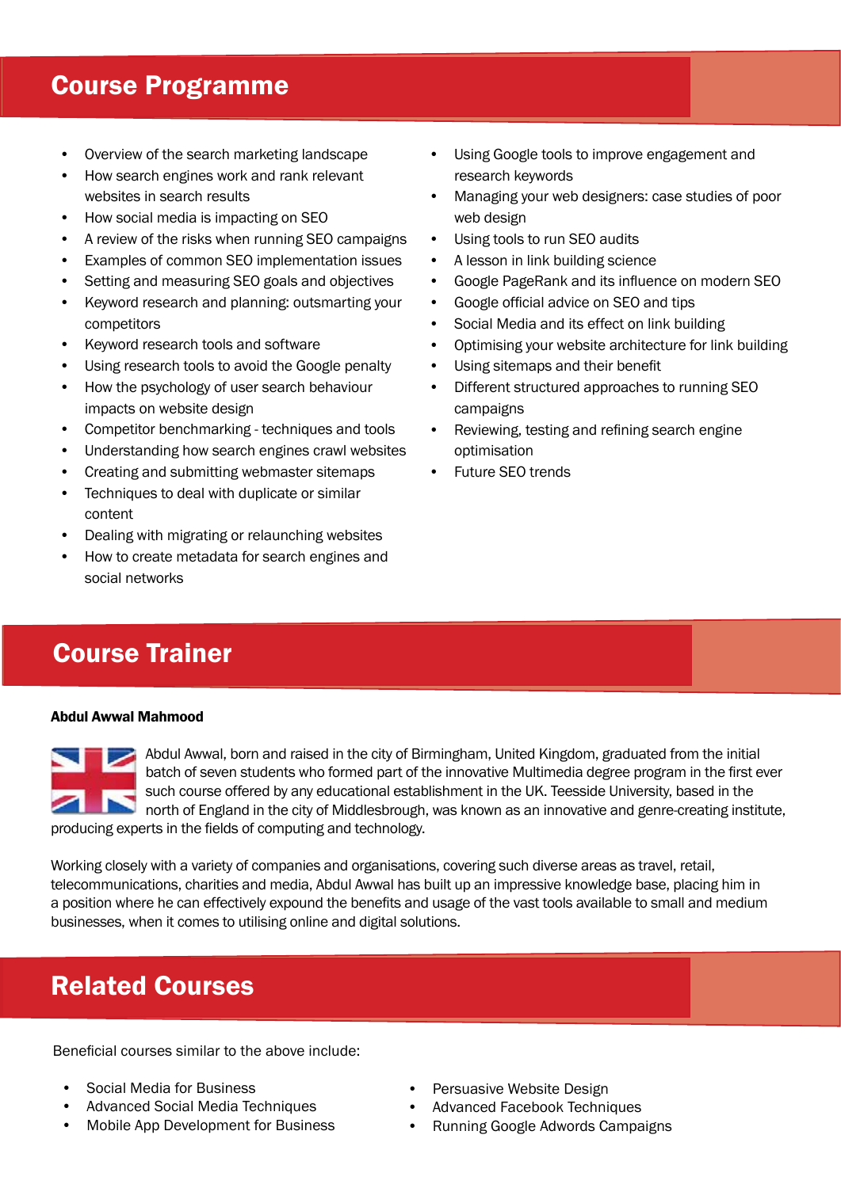#### Course Programme

- Overview of the search marketing landscape
- How search engines work and rank relevant websites in search results
- How social media is impacting on SEO
- A review of the risks when running SEO campaigns
- Examples of common SEO implementation issues
- Setting and measuring SEO goals and objectives
- Keyword research and planning: outsmarting your competitors
- Keyword research tools and software
- Using research tools to avoid the Google penalty
- How the psychology of user search behaviour impacts on website design
- Competitor benchmarking techniques and tools
- Understanding how search engines crawl websites
- Creating and submitting webmaster sitemaps
- Techniques to deal with duplicate or similar content
- Dealing with migrating or relaunching websites
- How to create metadata for search engines and social networks
- Using Google tools to improve engagement and research keywords
- Managing your web designers: case studies of poor web design
- Using tools to run SEO audits
- A lesson in link building science
- Google PageRank and its influence on modern SEO
- Google official advice on SEO and tips
- Social Media and its effect on link building
- Optimising your website architecture for link building
- Using sitemaps and their benefit
- Different structured approaches to running SEO campaigns
- Reviewing, testing and refining search engine optimisation
- Future SEO trends

### Course Trainer

#### Abdul Awwal Mahmood



Abdul Awwal, born and raised in the city of Birmingham, United Kingdom, graduated from the initial batch of seven students who formed part of the innovative Multimedia degree program in the first ever such course offered by any educational establishment in the UK. Teesside University, based in the north of England in the city of Middlesbrough, was known as an innovative and genre-creating institute, producing experts in the fields of computing and technology.

Working closely with a variety of companies and organisations, covering such diverse areas as travel, retail, telecommunications, charities and media, Abdul Awwal has built up an impressive knowledge base, placing him in a position where he can effectively expound the benefits and usage of the vast tools available to small and medium businesses, when it comes to utilising online and digital solutions.

### Related Courses

Beneficial courses similar to the above include:

- Social Media for Business
- Advanced Social Media Techniques
- Mobile App Development for Business
- Persuasive Website Design
- Advanced Facebook Techniques
- Running Google Adwords Campaigns